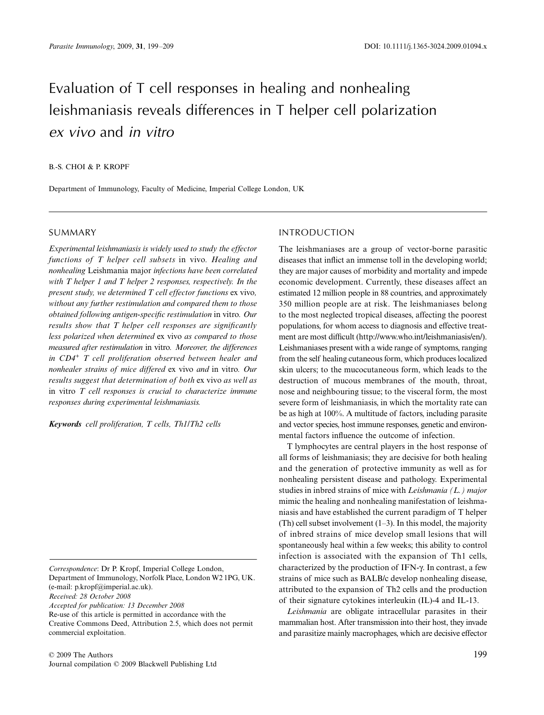# Evaluation of T cell responses in healing and nonhealing leishmaniasis reveals differences in T helper cell polarization *ex vivo* and *in vitro*

## B.-S. CHOI & P. KROPF

Department of Immunology, Faculty of Medicine, Imperial College London, UK

## SUMMARY

*Experimental leishmaniasis is widely used to study the effector functions of T helper cell subsets* in vivo*. Healing and nonhealing* Leishmania major *infections have been correlated with T helper 1 and T helper 2 responses, respectively. In the present study, we determined T cell effector functions* ex vivo*, without any further restimulation and compared them to those obtained following antigen-specific restimulation* in vitro*. Our results show that T helper cell responses are significantly less polarized when determined* ex vivo *as compared to those measured after restimulation* in vitro*. Moreover, the differences in CD4+ T cell proliferation observed between healer and nonhealer strains of mice differed* ex vivo *and* in vitro*. Our results suggest that determination of both* ex vivo *as well as* in vitro *T cell responses is crucial to characterize immune responses during experimental leishmaniasis.*

*Keywords cell proliferation, T cells, Th1/Th2 cells*

*Correspondence*: Dr P. Kropf, Imperial College London, Department of Immunology, Norfolk Place, London W2 1PG, UK. (e-mail: p.kropf@imperial.ac.uk).

*Received: 28 October 2008*

*Accepted for publication: 13 December 2008*

Re-use of this article is permitted in accordance with the Creative Commons Deed, Attribution 2.5, which does not permit commercial exploitation.

# INTRODUCTION

The leishmaniases are a group of vector-borne parasitic diseases that inflict an immense toll in the developing world; they are major causes of morbidity and mortality and impede economic development. Currently, these diseases affect an estimated 12 million people in 88 countries, and approximately 350 million people are at risk. The leishmaniases belong to the most neglected tropical diseases, affecting the poorest populations, for whom access to diagnosis and effective treatment are most difficult [\(http://www.who.int/leishmaniasis/en/\).](http://www.who.int/leishmaniasis/en/) Leishmaniases present with a wide range of symptoms, ranging from the self healing cutaneous form, which produces localized skin ulcers; to the mucocutaneous form, which leads to the destruction of mucous membranes of the mouth, throat, nose and neighbouring tissue; to the visceral form, the most severe form of leishmaniasis, in which the mortality rate can be as high at 100%. A multitude of factors, including parasite and vector species, host immune responses, genetic and environmental factors influence the outcome of infection.

T lymphocytes are central players in the host response of all forms of leishmaniasis; they are decisive for both healing and the generation of protective immunity as well as for nonhealing persistent disease and pathology. Experimental studies in inbred strains of mice with *Leishmania (L.) major* mimic the healing and nonhealing manifestation of leishmaniasis and have established the current paradigm of T helper (Th) cell subset involvement (1–3). In this model, the majority of inbred strains of mice develop small lesions that will spontaneously heal within a few weeks; this ability to control infection is associated with the expansion of Th1 cells, characterized by the production of IFN-γ. In contrast, a few strains of mice such as BALB/c develop nonhealing disease, attributed to the expansion of Th2 cells and the production of their signature cytokines interleukin (IL)-4 and IL-13.

*Leishmania* are obligate intracellular parasites in their mammalian host. After transmission into their host, they invade and parasitize mainly macrophages, which are decisive effector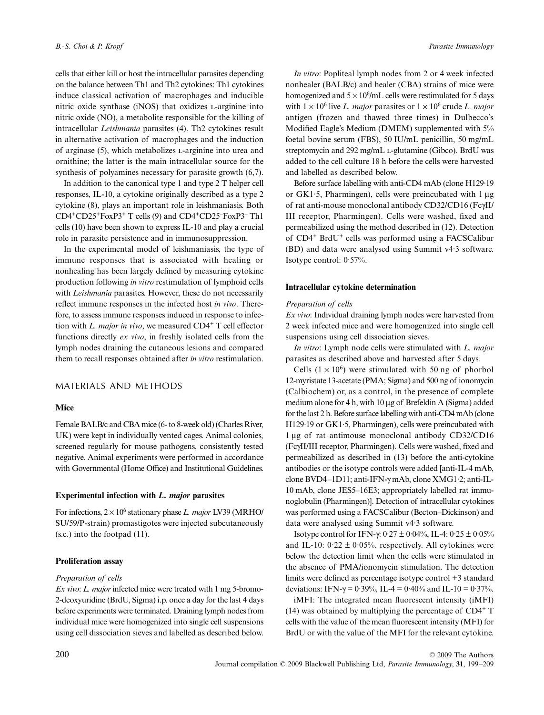cells that either kill or host the intracellular parasites depending on the balance between Th1 and Th2 cytokines: Th1 cytokines induce classical activation of macrophages and inducible nitric oxide synthase (iNOS) that oxidizes l-arginine into nitric oxide (NO), a metabolite responsible for the killing of intracellular *Leishmania* parasites (4). Th2 cytokines result in alternative activation of macrophages and the induction of arginase (5), which metabolizes l-arginine into urea and ornithine; the latter is the main intracellular source for the synthesis of polyamines necessary for parasite growth (6,7).

In addition to the canonical type 1 and type 2 T helper cell responses, IL-10, a cytokine originally described as a type 2 cytokine (8), plays an important role in leishmaniasis. Both CD4+CD25+FoxP3+ T cells (9) and CD4+CD25– FoxP3– Th1 cells (10) have been shown to express IL-10 and play a crucial role in parasite persistence and in immunosuppression.

In the experimental model of leishmaniasis, the type of immune responses that is associated with healing or nonhealing has been largely defined by measuring cytokine production following *in vitro* restimulation of lymphoid cells with *Leishmania* parasites. However, these do not necessarily reflect immune responses in the infected host *in vivo*. Therefore, to assess immune responses induced in response to infection with *L. major in vivo*, we measured CD4+ T cell effector functions directly *ex vivo*, in freshly isolated cells from the lymph nodes draining the cutaneous lesions and compared them to recall responses obtained after *in vitro* restimulation.

# MATERIALS AND METHODS

## **Mice**

Female BALB/c and CBA mice (6- to 8-week old) (Charles River, UK) were kept in individually vented cages. Animal colonies, screened regularly for mouse pathogens, consistently tested negative. Animal experiments were performed in accordance with Governmental (Home Office) and Institutional Guidelines.

## **Experimental infection with** *L. major* **parasites**

For infections,  $2 \times 10^6$  stationary phase *L. major* LV39 (MRHO/ SU/59/P-strain) promastigotes were injected subcutaneously (s.c.) into the footpad (11).

#### **Proliferation assay**

#### *Preparation of cells*

*Ex vivo*: *L. major* infected mice were treated with 1 mg 5-bromo-2-deoxyuridine (BrdU, Sigma) i.p. once a day for the last 4 days before experiments were terminated. Draining lymph nodes from individual mice were homogenized into single cell suspensions using cell dissociation sieves and labelled as described below.

*In vitro*: Popliteal lymph nodes from 2 or 4 week infected nonhealer (BALB/c) and healer (CBA) strains of mice were homogenized and  $5 \times 10^6$ /mL cells were restimulated for 5 days with  $1 \times 10^6$  live *L. major* parasites or  $1 \times 10^6$  crude *L. major* antigen (frozen and thawed three times) in Dulbecco's Modified Eagle's Medium (DMEM) supplemented with 5% foetal bovine serum (FBS), 50 IU/mL penicillin, 50 mg/mL streptomycin and 292 mg/mL L-glutamine (Gibco). BrdU was added to the cell culture 18 h before the cells were harvested and labelled as described below.

Before surface labelling with anti-CD4 mAb (clone H129·19 or GK1·5, Pharmingen), cells were preincubated with 1 μg of rat anti-mouse monoclonal antibody CD32/CD16 (FcγII/ III receptor, Pharmingen). Cells were washed, fixed and permeabilized using the method described in (12). Detection of CD4+ BrdU+ cells was performed using a FACSCalibur (BD) and data were analysed using Summit v4·3 software. Isotype control: 0·57%.

#### **Intracellular cytokine determination**

#### *Preparation of cells*

*Ex vivo*: Individual draining lymph nodes were harvested from 2 week infected mice and were homogenized into single cell suspensions using cell dissociation sieves.

*In vitro*: Lymph node cells were stimulated with *L. major* parasites as described above and harvested after 5 days.

Cells  $(1 \times 10^6)$  were stimulated with 50 ng of phorbol 12-myristate 13-acetate (PMA; Sigma) and 500 ng of ionomycin (Calbiochem) or, as a control, in the presence of complete medium alone for 4 h, with 10 μg of Brefeldin A (Sigma) added for the last 2 h. Before surface labelling with anti-CD4 mAb (clone H129·19 or GK1·5, Pharmingen), cells were preincubated with 1 μg of rat antimouse monoclonal antibody CD32/CD16 (FcγII/III receptor, Pharmingen). Cells were washed, fixed and permeabilized as described in (13) before the anti-cytokine antibodies or the isotype controls were added [anti-IL-4 mAb, clone BVD4–1D11; anti-IFN-γ mAb, clone XMG1·2; anti-IL-10 mAb, clone JES5–16E3; appropriately labelled rat immunoglobulin (Pharmingen)]. Detection of intracellular cytokines was performed using a FACSCalibur (Becton–Dickinson) and data were analysed using Summit v4·3 software.

Isotype control for IFN-γ:  $0.27 \pm 0.04\%$ , IL-4:  $0.25 \pm 0.05\%$ and IL-10:  $0.22 \pm 0.05\%$ , respectively. All cytokines were below the detection limit when the cells were stimulated in the absence of PMA/ionomycin stimulation. The detection limits were defined as percentage isotype control +3 standard deviations: IFN- $\gamma = 0.39\%$ , IL-4 = 0.40% and IL-10 = 0.37%.

iMFI: The integrated mean fluorescent intensity (iMFI) (14) was obtained by multiplying the percentage of  $CD4^+$  T cells with the value of the mean fluorescent intensity (MFI) for BrdU or with the value of the MFI for the relevant cytokine.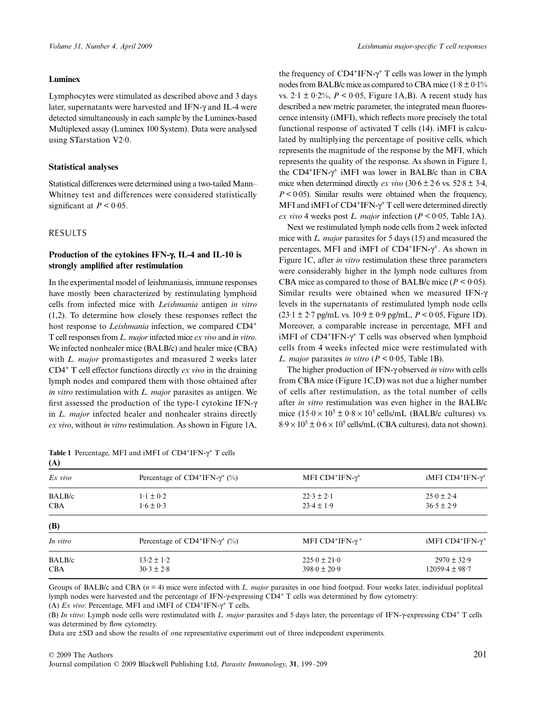## **Luminex**

Lymphocytes were stimulated as described above and 3 days later, supernatants were harvested and IFN-γ and IL-4 were detected simultaneously in each sample by the Luminex-based Multiplexed assay (Luminex 100 System). Data were analysed using STarstation V2·0.

#### **Statistical analyses**

Statistical differences were determined using a two-tailed Mann– Whitney test and differences were considered statistically significant at  $P < 0.05$ .

## RESULTS

# **Production of the cytokines IFN-**γ**, IL-4 and IL-10 is strongly amplified after restimulation**

In the experimental model of leishmaniasis, immune responses have mostly been characterized by restimulating lymphoid cells from infected mice with *Leishmania* antigen *in vitro* (1,2). To determine how closely these responses reflect the host response to *Leishmania* infection, we compared CD4<sup>+</sup> T cell responses from *L. major* infected mice *ex vivo* and *in vitro*. We infected nonhealer mice (BALB/c) and healer mice (CBA) with *L. major* promastigotes and measured 2 weeks later CD4+ T cell effector functions directly *ex vivo* in the draining lymph nodes and compared them with those obtained after *in vitro* restimulation with *L. major* parasites as antigen. We first assessed the production of the type-1 cytokine IFN-γ in *L. major* infected healer and nonhealer strains directly *ex vivo*, without *in vitro* restimulation. As shown in Figure 1A,

|           | Table 1 Percentage, MFI and iMFI of $CD4+IFN-\gamma^+$ T cells |  |  |  |  |
|-----------|----------------------------------------------------------------|--|--|--|--|
| $\lambda$ |                                                                |  |  |  |  |

the frequency of  $CD4+IFN-\gamma^+$  T cells was lower in the lymph nodes from BALB/c mice as compared to CBA mice  $(1.8 \pm 0.1\%)$ vs.  $2.1 \pm 0.2\%$ ,  $P < 0.05$ , Figure 1A, B). A recent study has described a new metric parameter, the integrated mean fluorescence intensity (iMFI), which reflects more precisely the total functional response of activated T cells (14). iMFI is calculated by multiplying the percentage of positive cells, which represents the magnitude of the response by the MFI, which represents the quality of the response. As shown in Figure 1, the  $CD4+IFN- $\gamma$ <sup>+</sup> iMFI was lower in BALB/c than in CBA$ mice when determined directly *ex vivo*  $(30.6 \pm 2.6 \text{ vs. } 52.8 \pm 3.4,$  $P < 0.05$ ). Similar results were obtained when the frequency, MFI and iMFI of CD4<sup>+</sup>IFN-γ<sup>+</sup> T cell were determined directly *ex vivo* 4 weeks post *L. major* infection  $(P < 0.05$ , Table 1A).

Next we restimulated lymph node cells from 2 week infected mice with *L. major* parasites for 5 days (15) and measured the percentages, MFI and iMFI of  $CD4+IFN-\gamma^+$ . As shown in Figure 1C, after *in vitro* restimulation these three parameters were considerably higher in the lymph node cultures from CBA mice as compared to those of BALB/c mice  $(P < 0.05)$ . Similar results were obtained when we measured IFN-γ levels in the supernatants of restimulated lymph node cells  $(23.1 \pm 2.7 \text{ pg/mL vs. } 10.9 \pm 0.9 \text{ pg/mL}, P < 0.05, \text{ Figure 1D}).$ Moreover, a comparable increase in percentage, MFI and iMFI of  $CD4+IFN-\gamma^+$  T cells was observed when lymphoid cells from 4 weeks infected mice were restimulated with *L. major* parasites *in vitro* ( $P < 0.05$ , Table 1B).

The higher production of IFN-γ observed *in vitro* with cells from CBA mice (Figure 1C,D) was not due a higher number of cells after restimulation, as the total number of cells after *in vitro* restimulation was even higher in the BALB/c mice  $(15.0 \times 10^5 \pm 0.8 \times 10^5 \text{ cells/mL}$  (BALB/c cultures) vs.  $8.9 \times 10^5 \pm 0.6 \times 10^5$  cells/mL (CBA cultures), data not shown).

| Percentage of $CD4$ <sup>+</sup> IFN- $\gamma$ <sup>+</sup> (%) | MFI $CD4$ <sup>+</sup> IFN- $\gamma$ <sup>+</sup> | iMFI $CD4+IFN-\gamma+$  |  |
|-----------------------------------------------------------------|---------------------------------------------------|-------------------------|--|
| $1 \cdot 1 \pm 0 \cdot 2$                                       | $22.3 \pm 2.1$                                    | $25.0 \pm 2.4$          |  |
| $1.6 \pm 0.3$                                                   | $23.4 \pm 1.9$                                    | $36.5 \pm 2.9$          |  |
|                                                                 |                                                   |                         |  |
| Percentage of $CD4+IFN-\gamma^+(%)$                             | MFI CD4 <sup>+</sup> IFN- $\gamma$ <sup>+</sup>   | iMFI $CD4+IFN-\gamma^+$ |  |
| $13.2 \pm 1.2$                                                  | $225.0 \pm 21.0$                                  | $2970 \pm 32.9$         |  |
| $30.3 \pm 2.8$                                                  | $398.0 \pm 20.9$<br>$12059.4 \pm 98.7$            |                         |  |
|                                                                 |                                                   |                         |  |

Groups of BALB/c and CBA (*n* = 4) mice were infected with *L. major* parasites in one hind footpad. Four weeks later, individual popliteal lymph nodes were harvested and the percentage of IFN-γ-expressing CD4+ T cells was determined by flow cytometry:

(B) *In vitro*: Lymph node cells were restimulated with *L. major* parasites and 5 days later, the percentage of IFN-γ-expressing CD4+ T cells was determined by flow cytometry.

Data are ±SD and show the results of one representative experiment out of three independent experiments.

<sup>(</sup>A) *Ex vivo*: Percentage, MFI and iMFI of CD4+IFN-γ+ T cells.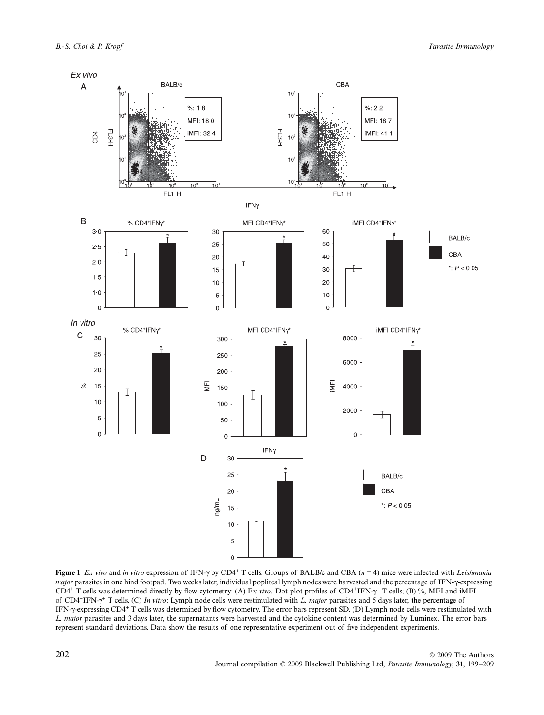

**Figure 1** *Ex vivo* and *in vitro* expression of IFN-γ by CD4+ T cells. Groups of BALB/c and CBA (*n* = 4) mice were infected with *Leishmania major* parasites in one hind footpad. Two weeks later, individual popliteal lymph nodes were harvested and the percentage of IFN-γ-expressing CD4+ T cells was determined directly by flow cytometry: (A) E*x vivo:* Dot plot profiles of CD4+IFN-γ+ T cells; (B) %, MFI and iMFI of CD4+IFN-γ+ T cells. (C) *In vitro*: Lymph node cells were restimulated with *L. major* parasites and 5 days later, the percentage of IFN-γ-expressing CD4+ T cells was determined by flow cytometry. The error bars represent SD. (D) Lymph node cells were restimulated with *L. major* parasites and 3 days later, the supernatants were harvested and the cytokine content was determined by Luminex. The error bars represent standard deviations. Data show the results of one representative experiment out of five independent experiments.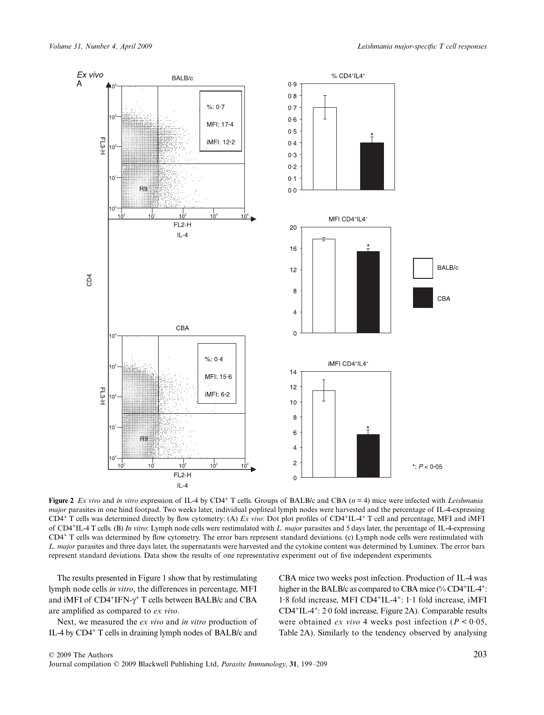

**Figure 2** *Ex vivo* and *in vitro* expression of IL-4 by CD4<sup>+</sup> T cells. Groups of BALB/c and CBA (*n* = 4) mice were infected with *Leishmania major* parasites in one hind footpad. Two weeks later, individual popliteal lymph nodes were harvested and the percentage of IL-4-expressing CD4+ T cells was determined directly by flow cytometry: (A) *Ex vivo*: Dot plot profiles of CD4+IL-4+ T cell and percentage, MFI and iMFI of CD4+IL-4 T cells. (B) *In vitro*: Lymph node cells were restimulated with *L. major* parasites and 5 days later, the percentage of IL-4-expressing CD4+ T cells was determined by flow cytometry. The error bars represent standard deviations. (c) Lymph node cells were restimulated with *L. major* parasites and three days later, the supernatants were harvested and the cytokine content was determined by Luminex. The error bars represent standard deviations. Data show the results of one representative experiment out of five independent experiments.

The results presented in Figure 1 show that by restimulating lymph node cells *in vitro*, the differences in percentage, MFI and iMFI of  $CD4^+$ IFN- $\gamma^+$  T cells between BALB/c and CBA are amplified as compared to *ex vivo*.

Next, we measured the *ex vivo* and *in vitro* production of IL-4 by CD4+ T cells in draining lymph nodes of BALB/c and CBA mice two weeks post infection. Production of IL-4 was higher in the BALB/c as compared to CBA mice (% CD4+IL-4+: 1·8 fold increase, MFI CD4+IL-4+: 1·1 fold increase, iMFI CD4+IL-4+: 2·0 fold increase, Figure 2A). Comparable results were obtained *ex vivo* 4 weeks post infection ( $P < 0.05$ , Table 2A). Similarly to the tendency observed by analysing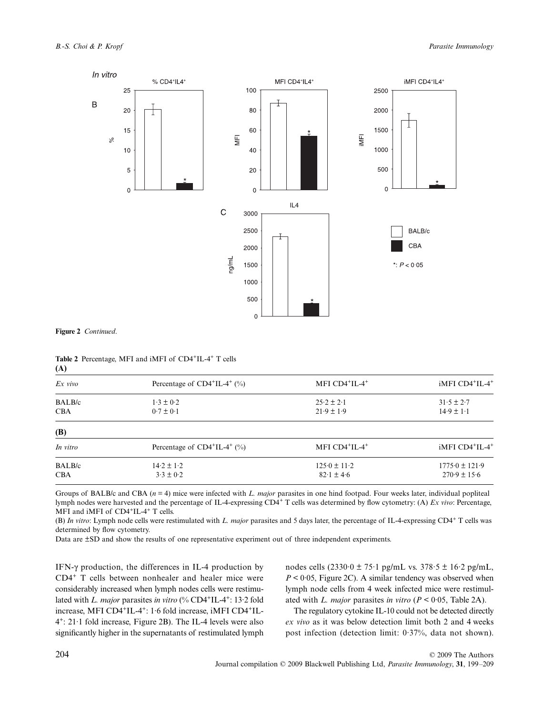

**Figure 2** *Continued*.

**Table 2** Percentage, MFI and iMFI of CD4+IL-4+ T cells **(A)**

| $Ex$ vivo  | Percentage of $CD4+IL-4+$ (%) | MFI CD4+IL-4+                      | iMFI CD4 <sup>+</sup> IL-4 <sup>+</sup> |  |
|------------|-------------------------------|------------------------------------|-----------------------------------------|--|
| BALB/c     | $1.3 \pm 0.2$                 | $25.2 \pm 2.1$                     | $31.5 \pm 2.7$                          |  |
| <b>CBA</b> | $0.7 \pm 0.1$                 | $21.9 \pm 1.9$                     | $14.9 \pm 1.1$                          |  |
| (B)        |                               |                                    |                                         |  |
| In vitro   | Percentage of $CD4+IL-4+$ (%) | MFI CD4+IL-4+                      | iMFI CD4 <sup>+</sup> IL-4 <sup>+</sup> |  |
| BALB/c     | $14.2 \pm 1.2$                | $125.0 \pm 11.2$                   | $1775.0 \pm 121.9$                      |  |
| <b>CBA</b> | $3.3 \pm 0.2$                 | $82.1 \pm 4.6$<br>$270.9 \pm 15.6$ |                                         |  |

Groups of BALB/c and CBA (*n* = 4) mice were infected with *L. major* parasites in one hind footpad. Four weeks later, individual popliteal lymph nodes were harvested and the percentage of IL-4-expressing CD4+ T cells was determined by flow cytometry: (A) *Ex vivo*: Percentage, MFI and iMFI of CD4<sup>+</sup>IL-4<sup>+</sup> T cells.

(B) *In vitro*: Lymph node cells were restimulated with *L. major* parasites and 5 days later, the percentage of IL-4-expressing CD4+ T cells was determined by flow cytometry.

Data are ±SD and show the results of one representative experiment out of three independent experiments.

IFN-γ production, the differences in IL-4 production by CD4+ T cells between nonhealer and healer mice were considerably increased when lymph nodes cells were restimulated with *L. major* parasites *in vitro* (% CD4<sup>+</sup>IL-4<sup>+</sup>: 13·2 fold increase, MFI CD4<sup>+</sup>IL-4<sup>+</sup>: 1.6 fold increase, iMFI CD4<sup>+</sup>IL- $4^{\circ}$ : 21.1 fold increase, Figure 2B). The IL-4 levels were also significantly higher in the supernatants of restimulated lymph

nodes cells  $(2330.0 \pm 75.1 \text{ pg/mL}$  vs.  $378.5 \pm 16.2 \text{ pg/mL}$ ,  $P \leq 0.05$ , Figure 2C). A similar tendency was observed when lymph node cells from 4 week infected mice were restimulated with *L. major* parasites *in vitro* (*P <* 0·05, Table 2A).

The regulatory cytokine IL-10 could not be detected directly *ex vivo* as it was below detection limit both 2 and 4 weeks post infection (detection limit: 0·37%, data not shown).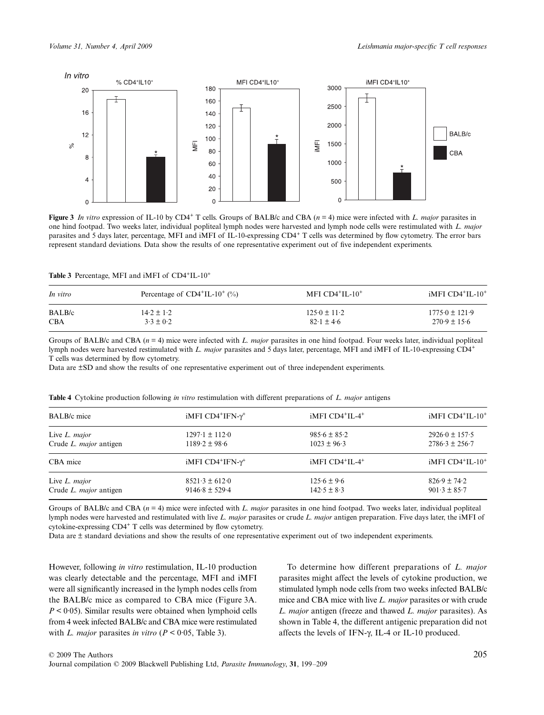

**Figure 3** In vitro expression of IL-10 by CD4<sup>+</sup> T cells. Groups of BALB/c and CBA  $(n = 4)$  mice were infected with *L. major* parasites in one hind footpad. Two weeks later, individual popliteal lymph nodes were harvested and lymph node cells were restimulated with *L. major* parasites and 5 days later, percentage, MFI and iMFI of IL-10-expressing CD4+ T cells was determined by flow cytometry. The error bars represent standard deviations. Data show the results of one representative experiment out of five independent experiments.

#### **Table 3** Percentage, MFI and iMFI of CD4+IL-10+

| Percentage of $CD4+IL-10+$ (%) | MFI $CD4+IL-10+$ | $IMFI$ CD4 <sup>+</sup> IL-10 <sup>+</sup> |  |
|--------------------------------|------------------|--------------------------------------------|--|
| $14.2 \pm 1.2$                 | $125.0 \pm 11.2$ | $1775.0 \pm 121.9$                         |  |
| $3.3 \pm 0.2$                  | $82.1 \pm 4.6$   | $270.9 \pm 15.6$                           |  |
|                                |                  |                                            |  |

Groups of BALB/c and CBA (*n* = 4) mice were infected with *L. major* parasites in one hind footpad. Four weeks later, individual popliteal lymph nodes were harvested restimulated with *L. major* parasites and 5 days later, percentage, MFI and iMFI of IL-10-expressing CD4<sup>+</sup> T cells was determined by flow cytometry.

Data are ±SD and show the results of one representative experiment out of three independent experiments.

| <b>BALB</b> /c mice           | iMFI $CD4$ <sup>+</sup> IFN- $\gamma$ <sup>+</sup> | iMFI CD4 <sup>+</sup> IL-4 <sup>+</sup> | iMFI CD4 <sup>+</sup> IL-10 <sup>+</sup> |  |
|-------------------------------|----------------------------------------------------|-----------------------------------------|------------------------------------------|--|
| Live L. major                 | $1297 \cdot 1 \pm 112 \cdot 0$                     | $985.6 \pm 85.2$                        | $2926.0 \pm 157.5$                       |  |
| Crude L. <i>major</i> antigen | $1189.2 \pm 98.6$                                  | $1023 \pm 96.3$                         | $2786.3 \pm 256.7$                       |  |
| CBA mice                      | iMFI $CD4$ <sup>+</sup> IFN- $\gamma$ <sup>+</sup> | iMFI CD4 <sup>+</sup> IL-4 <sup>+</sup> | iMFI CD4 <sup>+</sup> IL-10 <sup>+</sup> |  |
| Live L. major                 | $8521 \cdot 3 \pm 612 \cdot 0$                     | $125.6 \pm 9.6$                         | $826.9 \pm 74.2$                         |  |
| Crude L. major antigen        | $9146.8 \pm 529.4$                                 | $142.5 \pm 8.3$                         | $901.3 \pm 85.7$                         |  |

**Table 4** Cytokine production following *in vitro* restimulation with different preparations of *L. major* antigens

Groups of BALB/c and CBA (*n* = 4) mice were infected with *L. major* parasites in one hind footpad. Two weeks later, individual popliteal lymph nodes were harvested and restimulated with live *L. major* parasites or crude *L. major* antigen preparation. Five days later, the iMFI of cytokine-expressing CD4+ T cells was determined by flow cytometry.

Data are ± standard deviations and show the results of one representative experiment out of two independent experiments.

However, following *in vitro* restimulation, IL-10 production was clearly detectable and the percentage, MFI and iMFI were all significantly increased in the lymph nodes cells from the BALB/c mice as compared to CBA mice (Figure 3A. *P* < 0·05). Similar results were obtained when lymphoid cells from 4 week infected BALB/c and CBA mice were restimulated with *L. major* parasites *in vitro* ( $P < 0.05$ , Table 3).

To determine how different preparations of *L. major* parasites might affect the levels of cytokine production, we stimulated lymph node cells from two weeks infected BALB/c mice and CBA mice with live *L. major* parasites or with crude *L. major* antigen (freeze and thawed *L. major* parasites). As shown in Table 4, the different antigenic preparation did not affects the levels of IFN-γ, IL-4 or IL-10 produced.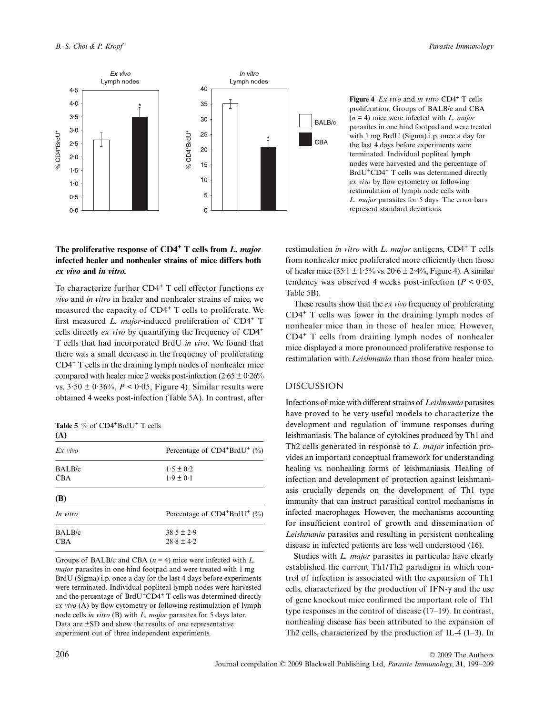

# **The proliferative response of CD4+ T cells from** *L. major* **infected healer and nonhealer strains of mice differs both**  *ex vivo* **and** *in vitro.*

To characterize further CD4+ T cell effector functions *ex vivo* and *in vitro* in healer and nonhealer strains of mice, we measured the capacity of CD4+ T cells to proliferate. We first measured *L. major*-induced proliferation of CD4<sup>+</sup> T cells directly *ex vivo* by quantifying the frequency of CD4+ T cells that had incorporated BrdU *in vivo*. We found that there was a small decrease in the frequency of proliferating CD4+ T cells in the draining lymph nodes of nonhealer mice compared with healer mice 2 weeks post-infection  $(2.65 \pm 0.26\%)$ vs.  $3.50 \pm 0.36\%$ ,  $P < 0.05$ , Figure 4). Similar results were obtained 4 weeks post-infection (Table 5A). In contrast, after

Table 5 % of CD4<sup>+</sup>BrdU<sup>+</sup> T cells **(A)**

| $\cdots$   |                                                      |
|------------|------------------------------------------------------|
| $Ex$ vivo  | Percentage of CD4 <sup>+</sup> BrdU <sup>+</sup> (%) |
| BALB/c     | $1.5 \pm 0.2$                                        |
| <b>CBA</b> | $1.9 \pm 0.1$                                        |
| <b>(B)</b> |                                                      |
| In vitro   | Percentage of CD4 <sup>+</sup> BrdU <sup>+</sup> (%) |
| BALB/c     | $38.5 \pm 2.9$                                       |
| <b>CBA</b> | $28.8 \pm 4.2$                                       |
|            |                                                      |

Groups of BALB/c and CBA (*n* = 4) mice were infected with *L. major* parasites in one hind footpad and were treated with 1 mg BrdU (Sigma) i.p. once a day for the last 4 days before experiments were terminated. Individual popliteal lymph nodes were harvested and the percentage of BrdU<sup>+</sup>CD4<sup>+</sup> T cells was determined directly *ex vivo* (A) by flow cytometry or following restimulation of lymph node cells *in vitro* (B) with *L. major* parasites for 5 days later. Data are ±SD and show the results of one representative experiment out of three independent experiments.

**Figure 4** *Ex vivo* and *in vitro* CD4<sup>+</sup> T cells proliferation. Groups of BALB/c and CBA (*n* = 4) mice were infected with *L. major* parasites in one hind footpad and were treated with 1 mg BrdU (Sigma) i.p. once a day for the last 4 days before experiments were terminated. Individual popliteal lymph nodes were harvested and the percentage of BrdU+CD4+ T cells was determined directly *ex vivo* by flow cytometry or following restimulation of lymph node cells with *L. major* parasites for 5 days. The error bars represent standard deviations.

restimulation *in vitro* with *L. major* antigens, CD4+ T cells from nonhealer mice proliferated more efficiently then those of healer mice (35 $\cdot$ 1 ± 1 $\cdot$ 5% vs. 20 $\cdot$ 6 ± 2 $\cdot$ 4%, Figure 4). A similar tendency was observed 4 weeks post-infection ( $P < 0.05$ , Table 5B).

These results show that the *ex vivo* frequency of proliferating CD4+ T cells was lower in the draining lymph nodes of nonhealer mice than in those of healer mice. However, CD4+ T cells from draining lymph nodes of nonhealer mice displayed a more pronounced proliferative response to restimulation with *Leishmania* than those from healer mice.

# DISCUSSION

Infections of mice with different strains of *Leishmania* parasites have proved to be very useful models to characterize the development and regulation of immune responses during leishmaniasis. The balance of cytokines produced by Th1 and Th2 cells generated in response to *L. major* infection provides an important conceptual framework for understanding healing vs. nonhealing forms of leishmaniasis. Healing of infection and development of protection against leishmaniasis crucially depends on the development of Th1 type immunity that can instruct parasitical control mechanisms in infected macrophages. However, the mechanisms accounting for insufficient control of growth and dissemination of *Leishmania* parasites and resulting in persistent nonhealing disease in infected patients are less well understood (16).

Studies with *L. major* parasites in particular have clearly established the current Th1/Th2 paradigm in which control of infection is associated with the expansion of Th1 cells, characterized by the production of IFN-γ and the use of gene knockout mice confirmed the important role of Th1 type responses in the control of disease (17–19). In contrast, nonhealing disease has been attributed to the expansion of Th2 cells, characterized by the production of IL-4 (1–3). In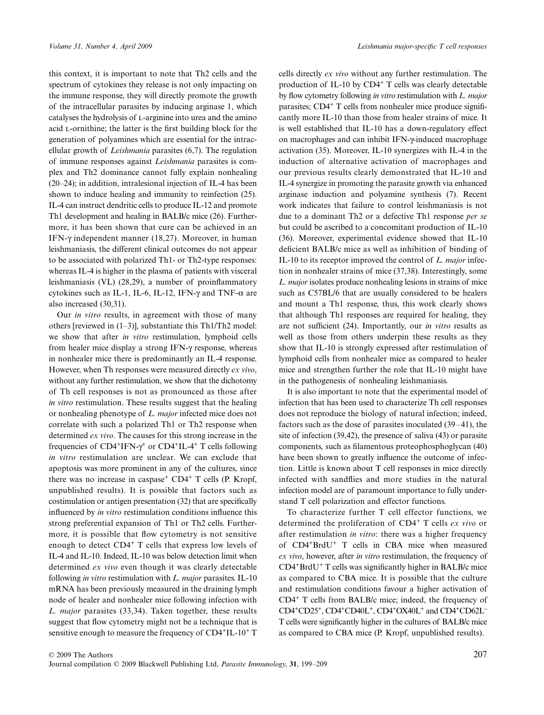this context, it is important to note that Th2 cells and the spectrum of cytokines they release is not only impacting on the immune response, they will directly promote the growth of the intracellular parasites by inducing arginase 1, which catalyses the hydrolysis of L-arginine into urea and the amino acid l-ornithine; the latter is the first building block for the generation of polyamines which are essential for the intracellular growth of *Leishmania* parasites (6,7). The regulation of immune responses against *Leishmania* parasites is complex and Th2 dominance cannot fully explain nonhealing (20–24); in addition, intralesional injection of IL-4 has been shown to induce healing and immunity to reinfection (25). IL-4 can instruct dendritic cells to produce IL-12 and promote Th1 development and healing in BALB/c mice (26). Furthermore, it has been shown that cure can be achieved in an IFN-γ independent manner (18,27). Moreover, in human leishmaniasis, the different clinical outcomes do not appear to be associated with polarized Th1- or Th2-type responses: whereas IL-4 is higher in the plasma of patients with visceral leishmaniasis (VL) (28,29), a number of proinflammatory cytokines such as IL-1, IL-6, IL-12, IFN-γ and TNF- $α$  are also increased (30,31).

Our *in vitro* results, in agreement with those of many others [reviewed in (1–3)], substantiate this Th1/Th2 model: we show that after *in vitro* restimulation, lymphoid cells from healer mice display a strong IFN-γ response, whereas in nonhealer mice there is predominantly an IL-4 response. However, when Th responses were measured directly *ex vivo*, without any further restimulation, we show that the dichotomy of Th cell responses is not as pronounced as those after *in vitro* restimulation. These results suggest that the healing or nonhealing phenotype of *L. major* infected mice does not correlate with such a polarized Th1 or Th2 response when determined *ex vivo*. The causes for this strong increase in the frequencies of CD4<sup>+</sup>IFN- $\gamma$ <sup>+</sup> or CD4<sup>+</sup>IL-4<sup>+</sup> T cells following *in vitro* restimulation are unclear. We can exclude that apoptosis was more prominent in any of the cultures, since there was no increase in caspase<sup>+</sup>  $CD4$ <sup>+</sup> T cells (P. Kropf, unpublished results). It is possible that factors such as costimulation or antigen presentation (32) that are specifically influenced by *in vitro* restimulation conditions influence this strong preferential expansion of Th1 or Th2 cells. Furthermore, it is possible that flow cytometry is not sensitive enough to detect  $CD4^+$  T cells that express low levels of IL-4 and IL-10. Indeed, IL-10 was below detection limit when determined *ex vivo* even though it was clearly detectable following *in vitro* restimulation with *L. major* parasites. IL-10 mRNA has been previously measured in the draining lymph node of healer and nonhealer mice following infection with *L. major* parasites (33,34). Taken together, these results suggest that flow cytometry might not be a technique that is sensitive enough to measure the frequency of CD4<sup>+</sup>IL-10<sup>+</sup> T cells directly *ex vivo* without any further restimulation. The production of IL-10 by CD4+ T cells was clearly detectable by flow cytometry following *in vitro* restimulation with *L. major* parasites; CD4+ T cells from nonhealer mice produce significantly more IL-10 than those from healer strains of mice. It is well established that IL-10 has a down-regulatory effect on macrophages and can inhibit IFN-γ-induced macrophage activation (35). Moreover, IL-10 synergizes with IL-4 in the induction of alternative activation of macrophages and our previous results clearly demonstrated that IL-10 and IL-4 synergize in promoting the parasite growth via enhanced arginase induction and polyamine synthesis (7). Recent work indicates that failure to control leishmaniasis is not due to a dominant Th2 or a defective Th1 response *per se* but could be ascribed to a concomitant production of IL-10 (36). Moreover, experimental evidence showed that IL-10 deficient BALB/c mice as well as inhibition of binding of IL-10 to its receptor improved the control of *L. major* infection in nonhealer strains of mice (37,38). Interestingly, some *L. major* isolates produce nonhealing lesions in strains of mice such as C57BL/6 that are usually considered to be healers and mount a Th1 response, thus, this work clearly shows that although Th1 responses are required for healing, they are not sufficient (24). Importantly, our *in vitro* results as well as those from others underpin these results as they show that IL-10 is strongly expressed after restimulation of lymphoid cells from nonhealer mice as compared to healer mice and strengthen further the role that IL-10 might have in the pathogenesis of nonhealing leishmaniasis.

It is also important to note that the experimental model of infection that has been used to characterize Th cell responses does not reproduce the biology of natural infection; indeed, factors such as the dose of parasites inoculated (39–41), the site of infection (39,42), the presence of saliva (43) or parasite components, such as filamentous proteophosphoglycan (40) have been shown to greatly influence the outcome of infection. Little is known about T cell responses in mice directly infected with sandflies and more studies in the natural infection model are of paramount importance to fully understand T cell polarization and effector functions.

To characterize further T cell effector functions, we determined the proliferation of CD4+ T cells *ex vivo* or after restimulation *in vitro*: there was a higher frequency of CD4+BrdU+ T cells in CBA mice when measured *ex vivo*, however, after *in vitro* restimulation, the frequency of  $CD4+BrdU+T$  cells was significantly higher in BALB/c mice as compared to CBA mice. It is possible that the culture and restimulation conditions favour a higher activation of CD4+ T cells from BALB/c mice; indeed, the frequency of CD4+CD25+, CD4+CD40L+, CD4+OX40L+ and CD4+CD62L<sup>−</sup> T cells were significantly higher in the cultures of BALB/c mice as compared to CBA mice (P. Kropf, unpublished results).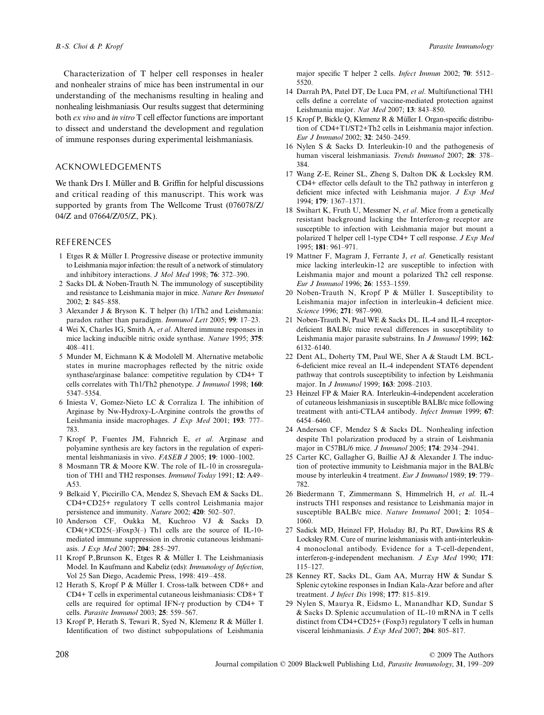Characterization of T helper cell responses in healer and nonhealer strains of mice has been instrumental in our understanding of the mechanisms resulting in healing and nonhealing leishmaniasis. Our results suggest that determining both *ex vivo* and *in vitro* T cell effector functions are important to dissect and understand the development and regulation of immune responses during experimental leishmaniasis.

# ACKNOWLEDGEMENTS

We thank Drs I. Müller and B. Griffin for helpful discussions and critical reading of this manuscript. This work was supported by grants from The Wellcome Trust (076078/Z/ 04/Z and 07664/Z/05/Z, PK).

## REFERENCES

- 1 Etges R & Müller I. Progressive disease or protective immunity to Leishmania major infection: the result of a network of stimulatory and inhibitory interactions. *J Mol Med* 1998; **76**: 372–390.
- 2 Sacks DL & Noben-Trauth N. The immunology of susceptibility and resistance to Leishmania major in mice. *Nature Rev Immunol* 2002; **2**: 845–858.
- 3 Alexander J & Bryson K. T helper (h) 1/Th2 and Leishmania: paradox rather than paradigm. *Immunol Lett* 2005; **99**: 17–23.
- 4 Wei X, Charles IG, Smith A, *et al*. Altered immune responses in mice lacking inducible nitric oxide synthase. *Nature* 1995; **375**: 408–411.
- 5 Munder M, Eichmann K & Modolell M. Alternative metabolic states in murine macrophages reflected by the nitric oxide synthase/arginase balance: competitive regulation by CD4+ T cells correlates with Th1/Th2 phenotype. *J Immunol* 1998; **160**: 5347–5354.
- 6 Iniesta V, Gomez-Nieto LC & Corraliza I. The inhibition of Arginase by Nw-Hydroxy-L-Arginine controls the growths of Leishmania inside macrophages. *J Exp Med* 2001; **193**: 777– 783.
- 7 Kropf P, Fuentes JM, Fahnrich E, *et al*. Arginase and polyamine synthesis are key factors in the regulation of experimental leishmaniasis in vivo. *FASEB J* 2005; **19**: 1000–1002.
- 8 Mosmann TR & Moore KW. The role of IL-10 in crossregulation of TH1 and TH2 responses. *Immunol Today* 1991; **12**: A49– A53.
- 9 Belkaid Y, Piccirillo CA, Mendez S, Shevach EM & Sacks DL. CD4+CD25+ regulatory T cells control Leishmania major persistence and immunity. *Nature* 2002; **420**: 502–507.
- 10 Anderson CF, Oukka M, Kuchroo VJ & Sacks D.  $CD4(+)CD25(-)Foxp3(-)$  Th1 cells are the source of IL-10mediated immune suppression in chronic cutaneous leishmaniasis. *J Exp Med* 2007; **204**: 285–297.
- 11 Kropf P.,Brunson K, Etges R & Müller I. The Leishmaniasis Model. In Kaufmann and Kabeliz (eds): *Immunology of Infection*, Vol 25 San Diego, Academic Press, 1998: 419–458.
- 12 Herath S, Kropf P & Müller I. Cross-talk between CD8+ and CD4+ T cells in experimental cutaneous leishmaniasis: CD8+ T cells are required for optimal IFN-γ production by CD4+ T cells. *Parasite Immunol* 2003; **25**: 559–567.
- 13 Kropf P, Herath S, Tewari R, Syed N, Klemenz R & Müller I. Identification of two distinct subpopulations of Leishmania

major specific T helper 2 cells. *Infect Immun* 2002; **70**: 5512– 5520.

- 14 Darrah PA, Patel DT, De Luca PM, *et al*. Multifunctional TH1 cells define a correlate of vaccine-mediated protection against Leishmania major. *Nat Med* 2007; **13**: 843–850.
- 15 Kropf P, Bickle Q, Klemenz R & Müller I. Organ-specific distribution of CD4+T1/ST2+Th2 cells in Leishmania major infection. *Eur J Immunol* 2002; **32**: 2450–2459.
- 16 Nylen S & Sacks D. Interleukin-10 and the pathogenesis of human visceral leishmaniasis. *Trends Immunol* 2007; **28**: 378– 384.
- 17 Wang Z-E, Reiner SL, Zheng S, Dalton DK & Locksley RM. CD4+ effector cells default to the Th2 pathway in interferon g deficient mice infected with Leishmania major. *J Exp Med* 1994; **179**: 1367–1371.
- 18 Swihart K, Fruth U, Messmer N, *et al*. Mice from a genetically resistant background lacking the Interferon-g receptor are susceptible to infection with Leishmania major but mount a polarized T helper cell 1-type CD4+ T cell response. *J Exp Med* 1995; **181**: 961–971.
- 19 Mattner F, Magram J, Ferrante J, *et al*. Genetically resistant mice lacking interleukin-12 are susceptible to infection with Leishmania major and mount a polarized Th2 cell response. *Eur J Immunol* 1996; **26**: 1553–1559.
- 20 Noben-Trauth N, Kropf P & Müller I. Susceptibility to Leishmania major infection in interleukin-4 deficient mice. *Science* 1996; **271**: 987–990.
- 21 Noben-Trauth N, Paul WE & Sacks DL. IL-4 and IL-4 receptordeficient BALB/c mice reveal differences in susceptibility to Leishmania major parasite substrains. In *J Immunol* 1999; **162**: 6132–6140.
- 22 Dent AL, Doherty TM, Paul WE, Sher A & Staudt LM. BCL-6-deficient mice reveal an IL-4 independent STAT6 dependent pathway that controls susceptibility to infection by Leishmania major. In *J Immunol* 1999; **163**: 2098–2103.
- 23 Heinzel FP & Maier RA. Interleukin-4-independent acceleration of cutaneous leishmaniasis in susceptible BALB/c mice following treatment with anti-CTLA4 antibody. *Infect Immun* 1999; **67**: 6454–6460.
- 24 Anderson CF, Mendez S & Sacks DL. Nonhealing infection despite Th1 polarization produced by a strain of Leishmania major in C57BL/6 mice. *J Immunol* 2005; **174**: 2934–2941.
- 25 Carter KC, Gallagher G, Baillie AJ & Alexander J. The induction of protective immunity to Leishmania major in the BALB/c mouse by interleukin 4 treatment. *Eur J Immunol* 1989; **19**: 779– 782.
- 26 Biedermann T, Zimmermann S, Himmelrich H, *et al*. IL-4 instructs TH1 responses and resistance to Leishmania major in susceptible BALB/c mice. *Nature Immunol* 2001; **2**: 1054– 1060.
- 27 Sadick MD, Heinzel FP, Holaday BJ, Pu RT, Dawkins RS & Locksley RM. Cure of murine leishmaniasis with anti-interleukin-4 monoclonal antibody. Evidence for a T-cell-dependent, interferon-g-independent mechanism. *J Exp Med* 1990; **171**: 115–127.
- 28 Kenney RT, Sacks DL, Gam AA, Murray HW & Sundar S. Splenic cytokine responses in Indian Kala-Azar before and after treatment. *J Infect Dis* 1998; **177**: 815–819.
- 29 Nylen S, Maurya R, Eidsmo L, Manandhar KD, Sundar S & Sacks D. Splenic accumulation of IL-10 mRNA in T cells distinct from CD4+CD25+ (Foxp3) regulatory T cells in human visceral leishmaniasis. *J Exp Med* 2007; **204**: 805–817.